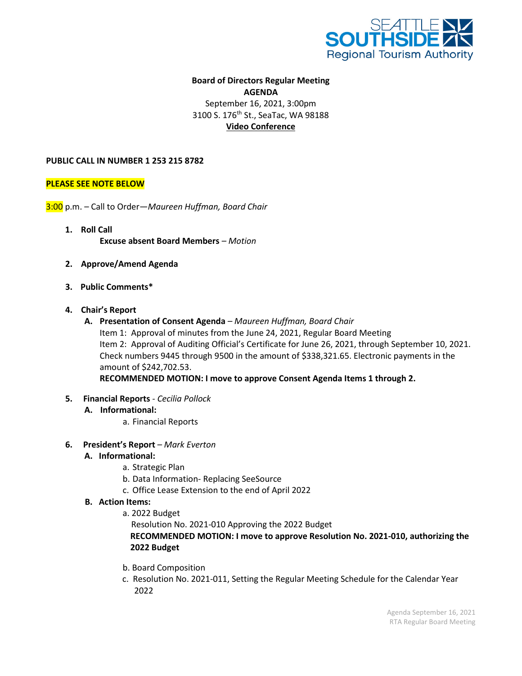

# **Board of Directors Regular Meeting AGENDA** September 16, 2021, 3:00pm 3100 S. 176<sup>th</sup> St., SeaTac, WA 98188 **Video Conference**

### **PUBLIC CALL IN NUMBER 1 253 215 8782**

### **PLEASE SEE NOTE BELOW**

3:00 p.m. – Call to Order—*Maureen Huffman, Board Chair*

- **1. Roll Call Excuse absent Board Members** *– Motion*
- **2. Approve/Amend Agenda**
- **3. Public Comments\***
- **4. Chair's Report**
	- **A. Presentation of Consent Agenda** *– Maureen Huffman, Board Chair* Item 1: Approval of minutes from the June 24, 2021, Regular Board Meeting Item 2: Approval of Auditing Official's Certificate for June 26, 2021, through September 10, 2021. Check numbers 9445 through 9500 in the amount of \$338,321.65. Electronic payments in the amount of \$242,702.53.

**RECOMMENDED MOTION: I move to approve Consent Agenda Items 1 through 2.**

**5. Financial Reports** *- Cecilia Pollock*

## **A. Informational:**

- a. Financial Reports
- **6. President's Report** *– Mark Everton*
	- **A. Informational:**
		- a. Strategic Plan
		- b. Data Information- Replacing SeeSource
		- c. Office Lease Extension to the end of April 2022

#### **B. Action Items:**

a. 2022 Budget

Resolution No. 2021-010 Approving the 2022 Budget

# **RECOMMENDED MOTION: I move to approve Resolution No. 2021-010, authorizing the 2022 Budget**

- b. Board Composition
- c. Resolution No. 2021-011, Setting the Regular Meeting Schedule for the Calendar Year 2022